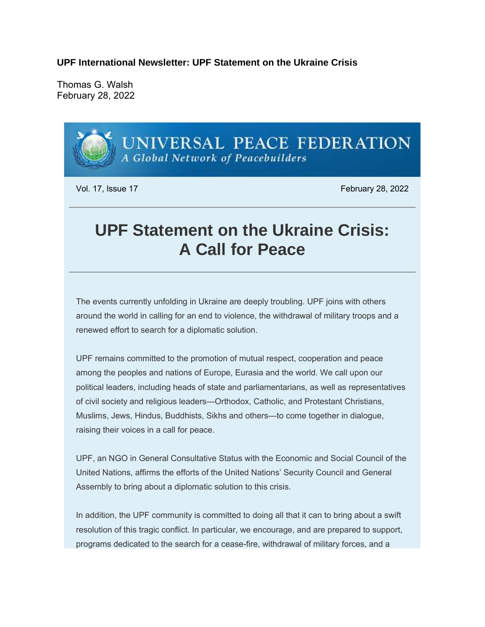**UPF International Newsletter: UPF Statement on the Ukraine Crisis**

Thomas G. Walsh February 28, 2022



The events currently unfolding in Ukraine are deeply troubling. UPF joins with others around the world in calling for an end to violence, the withdrawal of military troops and a renewed effort to search for a diplomatic solution.

UPF remains committed to the promotion of mutual respect, cooperation and peace among the peoples and nations of Europe, Eurasia and the world. We call upon our political leaders, including heads of state and parliamentarians, as well as representatives of civil society and religious leaders—Orthodox, Catholic, and Protestant Christians, Muslims, Jews, Hindus, Buddhists, Sikhs and others—to come together in dialogue, raising their voices in a call for peace.

UPF, an NGO in General Consultative Status with the Economic and Social Council of the United Nations, affirms the efforts of the United Nations' Security Council and General Assembly to bring about a diplomatic solution to this crisis.

In addition, the UPF community is committed to doing all that it can to bring about a swift resolution of this tragic conflict. In particular, we encourage, and are prepared to support, programs dedicated to the search for a cease-fire, withdrawal of military forces, and a